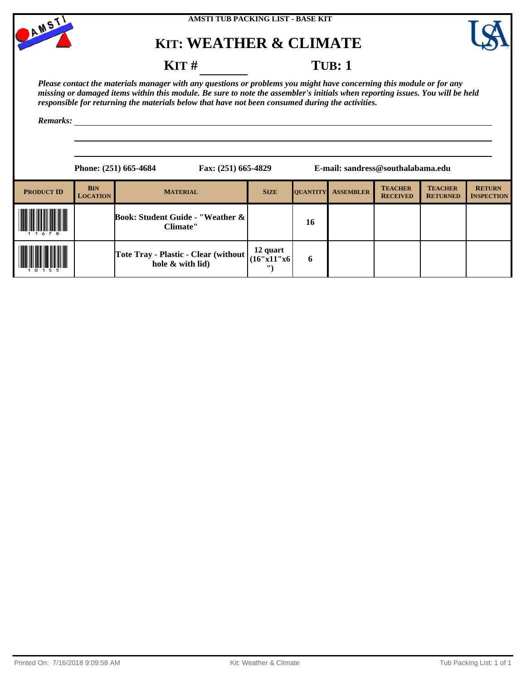

**AMSTI TUB PACKING LIST - BASE KIT**

# **KIT: WEATHER & CLIMATE**



#### **KIT** # **TUB**: 1

*Please contact the materials manager with any questions or problems you might have concerning this module or for any missing or damaged items within this module. Be sure to note the assembler's initials when reporting issues. You will be held responsible for returning the materials below that have not been consumed during the activities.*

|                   |                               | Phone: (251) 665-4684<br>Fax: (251) 665-4829             |                                    |                 | E-mail: sandress@southalabama.edu |                                   |                                   |                                    |
|-------------------|-------------------------------|----------------------------------------------------------|------------------------------------|-----------------|-----------------------------------|-----------------------------------|-----------------------------------|------------------------------------|
| <b>PRODUCT ID</b> | <b>BIN</b><br><b>LOCATION</b> | <b>MATERIAL</b>                                          | <b>SIZE</b>                        | <b>QUANTITY</b> | <b>ASSEMBLER</b>                  | <b>TEACHER</b><br><b>RECEIVED</b> | <b>TEACHER</b><br><b>RETURNED</b> | <b>RETURN</b><br><b>INSPECTION</b> |
|                   |                               | <b>Book: Student Guide - "Weather &amp;</b><br>Climate"  |                                    | 16              |                                   |                                   |                                   |                                    |
|                   |                               | Tote Tray - Plastic - Clear (without<br>hole & with lid) | 12 quart<br>(16"x11"x6<br>$\cdots$ | 6               |                                   |                                   |                                   |                                    |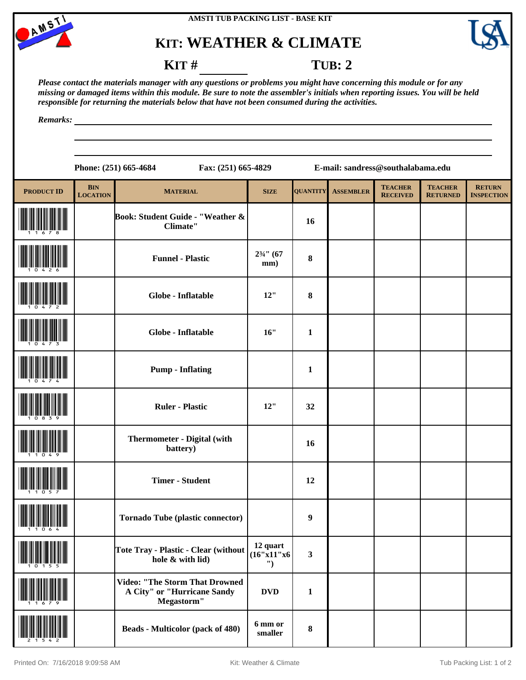



#### **KIT** # **TUB**: 2

*Please contact the materials manager with any questions or problems you might have concerning this module or for any missing or damaged items within this module. Be sure to note the assembler's initials when reporting issues. You will be held responsible for returning the materials below that have not been consumed during the activities.*

*Remarks:*

**Phone: (251) 665-4684 Fax: (251) 665-4829 E-mail: sandress@southalabama.edu PRODUCT ID BIN**<br>**LOCATION LOCATION MATERIAL SIZE QUANTITY ASSEMBLER TEACHER RECEIVED TEACHER RETURNED RETURN INSPECTION** (11678) **Book: Student Guide - "Weather & Climate" <sup>16</sup> Funnel - Plastic**  $\begin{bmatrix} 2^{3/4} \text{ } (67 \text{ mm}) \end{bmatrix}$  $\begin{array}{c|c} 2^{3/4} & (67 \\ \hline \text{mm}) & (8) \end{array}$ (10472) **Globe - Inflatable 12" <sup>8</sup>** (10473) **Globe - Inflatable 16" <sup>1</sup>** (10474) **Pump - Inflating <sup>1</sup>** (10839) **Ruler - Plastic 12" <sup>32</sup>** (11049) **Thermometer - Digital (with**  battery) 16 **Timer - Student 12** Tornado Tube (plastic connector) **9** (10155) **Tote Tray - Plastic - Clear (without hole & with lid) 12 quart (16"x11"x6 ") 3** (11679) **Video: "The Storm That Drowned A City" or "Hurricane Sandy Megastorm"**  $DVD$  1

**smaller <sup>8</sup>**

(21542) **Beads - Multicolor (pack of 480) 6 mm or**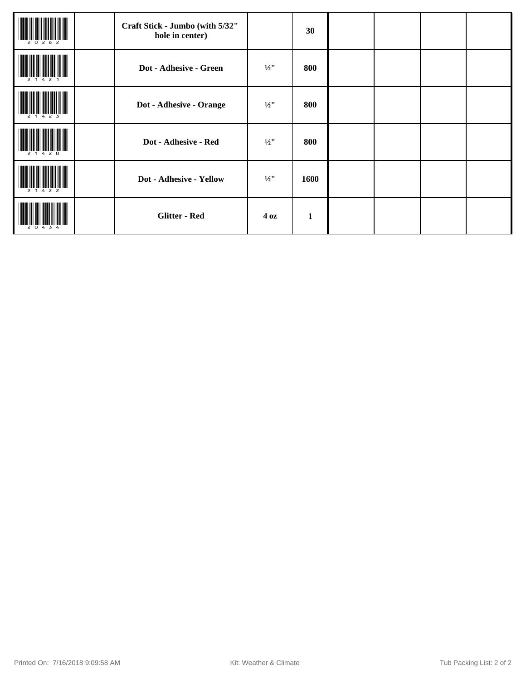| 2 <sub>0</sub><br>262 | Craft Stick - Jumbo (with 5/32"<br>hole in center) |                     | 30           |  |  |
|-----------------------|----------------------------------------------------|---------------------|--------------|--|--|
|                       | Dot - Adhesive - Green                             | $\frac{1}{2}$ "     | 800          |  |  |
| -3                    | Dot - Adhesive - Orange                            | $\frac{1}{2}$ "     | 800          |  |  |
| 420                   | Dot - Adhesive - Red                               | $1/2$ <sup>11</sup> | 800          |  |  |
| 2 1 4 2 2             | Dot - Adhesive - Yellow                            | $\frac{1}{2}$ "     | 1600         |  |  |
|                       | <b>Glitter - Red</b>                               | 4 <sub>oz</sub>     | $\mathbf{1}$ |  |  |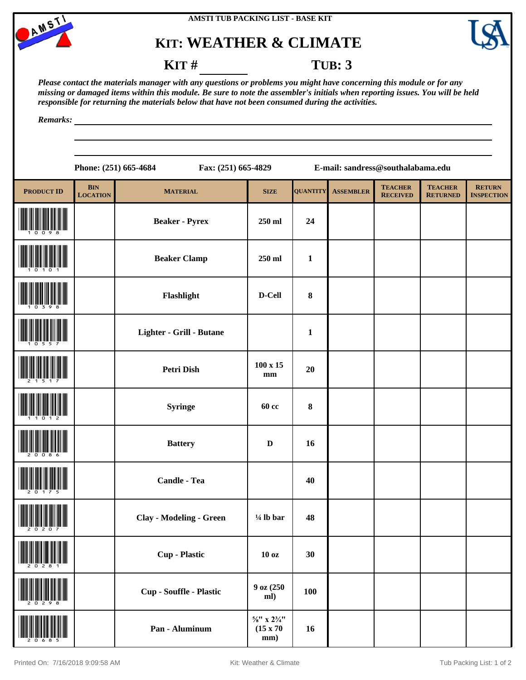



#### **KIT # TUB: 3**

*Please contact the materials manager with any questions or problems you might have concerning this module or for any missing or damaged items within this module. Be sure to note the assembler's initials when reporting issues. You will be held responsible for returning the materials below that have not been consumed during the activities.*

*Remarks:*

| 665-4684 ( | <b>Fax:</b> |
|------------|-------------|

**Phone: (251) 665-4684 Fax: (251) 665-4829 E-mail: sandress@southalabama.edu**

| <b>PRODUCT ID</b>                                       | <b>BIN</b>      | <b>MATERIAL</b>                | <b>SIZE</b>                                                   | <b>QUANTITY</b> | <b>ASSEMBLER</b> | <b>TEACHER</b>  | <b>TEACHER</b>  | <b>RETURN</b>     |
|---------------------------------------------------------|-----------------|--------------------------------|---------------------------------------------------------------|-----------------|------------------|-----------------|-----------------|-------------------|
|                                                         | <b>LOCATION</b> | <b>Beaker - Pyrex</b>          | 250 ml                                                        | 24              |                  | <b>RECEIVED</b> | <b>RETURNED</b> | <b>INSPECTION</b> |
|                                                         |                 | <b>Beaker Clamp</b>            | 250 ml                                                        | $\mathbf{1}$    |                  |                 |                 |                   |
|                                                         |                 | Flashlight                     | D-Cell                                                        | $\pmb{8}$       |                  |                 |                 |                   |
|                                                         |                 | Lighter - Grill - Butane       |                                                               | $\mathbf{1}$    |                  |                 |                 |                   |
|                                                         |                 | <b>Petri Dish</b>              | $100 \times 15$<br>mm                                         | 20              |                  |                 |                 |                   |
|                                                         |                 | <b>Syringe</b>                 | <b>60 cc</b>                                                  | $\pmb{8}$       |                  |                 |                 |                   |
|                                                         |                 | <b>Battery</b>                 | $\mathbf D$                                                   | 16              |                  |                 |                 |                   |
|                                                         |                 | Candle - Tea                   |                                                               | 40              |                  |                 |                 |                   |
|                                                         |                 | <b>Clay - Modeling - Green</b> | $\frac{1}{4}$ lb bar                                          | 48              |                  |                 |                 |                   |
| $\frac{1}{2}$ $\frac{1}{2}$ $\frac{1}{8}$ $\frac{1}{4}$ |                 | <b>Cup - Plastic</b>           | 10 <sub>oz</sub>                                              | 30              |                  |                 |                 |                   |
|                                                         |                 | Cup - Souffle - Plastic        | 9 oz (250<br>ml)                                              | 100             |                  |                 |                 |                   |
|                                                         |                 | Pan - Aluminum                 | $\frac{5}{8}$ " x $2\frac{3}{4}$ "<br>$(15 \times 70)$<br>mm) | 16              |                  |                 |                 |                   |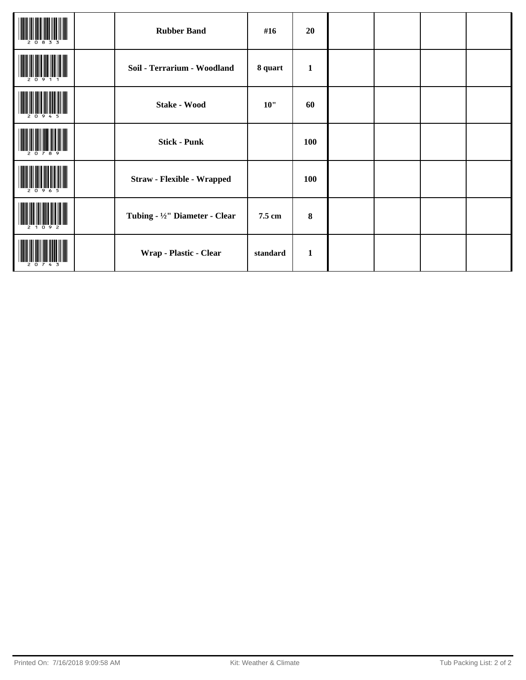|       | <b>Rubber Band</b>                | #16      | 20           |  |  |
|-------|-----------------------------------|----------|--------------|--|--|
|       | Soil - Terrarium - Woodland       | 8 quart  | $\mathbf{1}$ |  |  |
|       | <b>Stake - Wood</b>               | 10"      | 60           |  |  |
|       | <b>Stick - Punk</b>               |          | 100          |  |  |
|       | <b>Straw - Flexible - Wrapped</b> |          | 100          |  |  |
| 21092 | Tubing - 1/2" Diameter - Clear    | 7.5 cm   | $\bf{8}$     |  |  |
|       | Wrap - Plastic - Clear            | standard | $\mathbf{1}$ |  |  |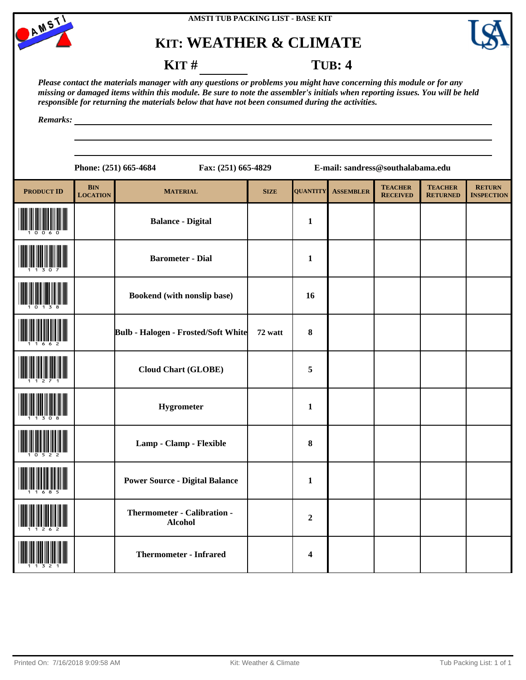



**KIT** # **TUB: 4** 

*Please contact the materials manager with any questions or problems you might have concerning this module or for any missing or damaged items within this module. Be sure to note the assembler's initials when reporting issues. You will be held responsible for returning the materials below that have not been consumed during the activities.*

|                   |                               | Phone: (251) 665-4684<br>Fax: (251) 665-4829  |             |                  | E-mail: sandress@southalabama.edu |                                   |                                   |                                    |
|-------------------|-------------------------------|-----------------------------------------------|-------------|------------------|-----------------------------------|-----------------------------------|-----------------------------------|------------------------------------|
| <b>PRODUCT ID</b> | <b>BIN</b><br><b>LOCATION</b> | <b>MATERIAL</b>                               | <b>SIZE</b> | <b>QUANTITY</b>  | <b>ASSEMBLER</b>                  | <b>TEACHER</b><br><b>RECEIVED</b> | <b>TEACHER</b><br><b>RETURNED</b> | <b>RETURN</b><br><b>INSPECTION</b> |
|                   |                               | <b>Balance - Digital</b>                      |             | $\mathbf{1}$     |                                   |                                   |                                   |                                    |
|                   |                               | <b>Barometer - Dial</b>                       |             | $\mathbf{1}$     |                                   |                                   |                                   |                                    |
|                   |                               | Bookend (with nonslip base)                   |             | 16               |                                   |                                   |                                   |                                    |
|                   |                               | <b>Bulb - Halogen - Frosted/Soft White</b>    | 72 watt     | 8                |                                   |                                   |                                   |                                    |
|                   |                               | <b>Cloud Chart (GLOBE)</b>                    |             | $\sqrt{5}$       |                                   |                                   |                                   |                                    |
|                   |                               | Hygrometer                                    |             | $\mathbf{1}$     |                                   |                                   |                                   |                                    |
|                   |                               | Lamp - Clamp - Flexible                       |             | 8                |                                   |                                   |                                   |                                    |
|                   |                               | <b>Power Source - Digital Balance</b>         |             | $\mathbf{1}$     |                                   |                                   |                                   |                                    |
|                   |                               | Thermometer - Calibration -<br><b>Alcohol</b> |             | $\boldsymbol{2}$ |                                   |                                   |                                   |                                    |
|                   |                               | <b>Thermometer - Infrared</b>                 |             | 4                |                                   |                                   |                                   |                                    |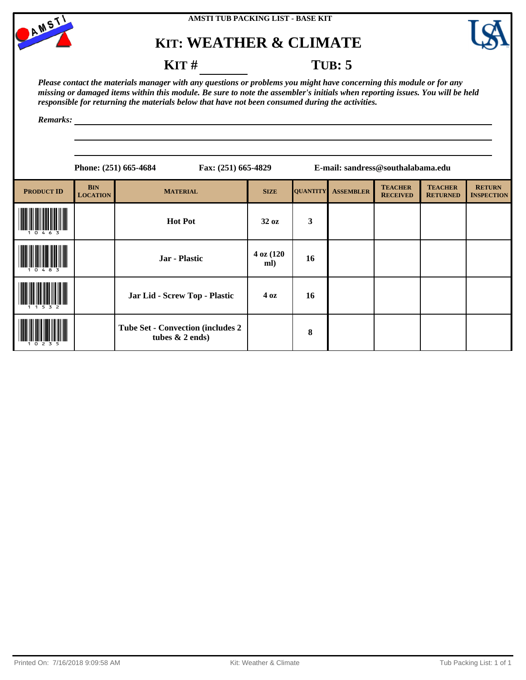



#### **KIT** # **TUB**: 5

*Please contact the materials manager with any questions or problems you might have concerning this module or for any missing or damaged items within this module. Be sure to note the assembler's initials when reporting issues. You will be held responsible for returning the materials below that have not been consumed during the activities.*

|                   |                               | Fax: (251) 665-4829<br>Phone: (251) 665-4684                   |                  |                 | E-mail: sandress@southalabama.edu |                                   |                                   |                                    |
|-------------------|-------------------------------|----------------------------------------------------------------|------------------|-----------------|-----------------------------------|-----------------------------------|-----------------------------------|------------------------------------|
| <b>PRODUCT ID</b> | <b>BIN</b><br><b>LOCATION</b> | <b>MATERIAL</b>                                                | <b>SIZE</b>      | <b>QUANTITY</b> | <b>ASSEMBLER</b>                  | <b>TEACHER</b><br><b>RECEIVED</b> | <b>TEACHER</b><br><b>RETURNED</b> | <b>RETURN</b><br><b>INSPECTION</b> |
|                   |                               | <b>Hot Pot</b>                                                 | 32 oz            | 3               |                                   |                                   |                                   |                                    |
| 0 4 8 3           |                               | Jar - Plastic                                                  | 4 oz (120<br>ml) | 16              |                                   |                                   |                                   |                                    |
|                   |                               | Jar Lid - Screw Top - Plastic                                  | $4\,\text{oz}$   | 16              |                                   |                                   |                                   |                                    |
|                   |                               | <b>Tube Set - Convection (includes 2)</b><br>tubes $& 2$ ends) |                  | 8               |                                   |                                   |                                   |                                    |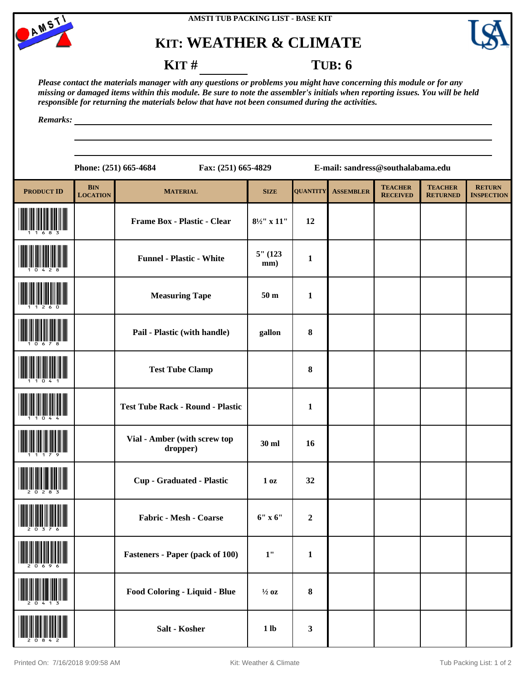



#### **KIT** # **TUB**: **6**

*Please contact the materials manager with any questions or problems you might have concerning this module or for any missing or damaged items within this module. Be sure to note the assembler's initials when reporting issues. You will be held responsible for returning the materials below that have not been consumed during the activities.*

|                                                                                                                                                                                                                                                                                                                                                     | E-mail: sandress@southalabama.edu<br>Phone: (251) 665-4684<br>Fax: (251) 665-4829 |                                          |                        |                  |                  |                                   |                                   |                                    |
|-----------------------------------------------------------------------------------------------------------------------------------------------------------------------------------------------------------------------------------------------------------------------------------------------------------------------------------------------------|-----------------------------------------------------------------------------------|------------------------------------------|------------------------|------------------|------------------|-----------------------------------|-----------------------------------|------------------------------------|
| <b>PRODUCT ID</b>                                                                                                                                                                                                                                                                                                                                   | <b>BIN</b><br><b>LOCATION</b>                                                     | <b>MATERIAL</b>                          | <b>SIZE</b>            | <b>QUANTITY</b>  | <b>ASSEMBLER</b> | <b>TEACHER</b><br><b>RECEIVED</b> | <b>TEACHER</b><br><b>RETURNED</b> | <b>RETURN</b><br><b>INSPECTION</b> |
|                                                                                                                                                                                                                                                                                                                                                     |                                                                                   | Frame Box - Plastic - Clear              | $8\frac{1}{2}$ " x 11" | 12               |                  |                                   |                                   |                                    |
|                                                                                                                                                                                                                                                                                                                                                     |                                                                                   | <b>Funnel - Plastic - White</b>          | $5"$ (123<br>mm)       | $\mathbf{1}$     |                  |                                   |                                   |                                    |
|                                                                                                                                                                                                                                                                                                                                                     |                                                                                   | <b>Measuring Tape</b>                    | 50 <sub>m</sub>        | 1                |                  |                                   |                                   |                                    |
|                                                                                                                                                                                                                                                                                                                                                     |                                                                                   | Pail - Plastic (with handle)             | gallon                 | 8                |                  |                                   |                                   |                                    |
|                                                                                                                                                                                                                                                                                                                                                     |                                                                                   | <b>Test Tube Clamp</b>                   |                        | 8                |                  |                                   |                                   |                                    |
|                                                                                                                                                                                                                                                                                                                                                     |                                                                                   | <b>Test Tube Rack - Round - Plastic</b>  |                        | 1                |                  |                                   |                                   |                                    |
|                                                                                                                                                                                                                                                                                                                                                     |                                                                                   | Vial - Amber (with screw top<br>dropper) | 30 ml                  | 16               |                  |                                   |                                   |                                    |
|                                                                                                                                                                                                                                                                                                                                                     |                                                                                   | <b>Cup - Graduated - Plastic</b>         | 1 <sub>oz</sub>        | 32               |                  |                                   |                                   |                                    |
| $\begin{picture}(20,10) \put(0,0){\line(1,0){10}} \put(10,0){\line(1,0){10}} \put(10,0){\line(1,0){10}} \put(10,0){\line(1,0){10}} \put(10,0){\line(1,0){10}} \put(10,0){\line(1,0){10}} \put(10,0){\line(1,0){10}} \put(10,0){\line(1,0){10}} \put(10,0){\line(1,0){10}} \put(10,0){\line(1,0){10}} \put(10,0){\line(1,0){10}} \put(10,0){\line(1$ |                                                                                   | Fabric - Mesh - Coarse                   | $6"$ x $6"$            | $\boldsymbol{2}$ |                  |                                   |                                   |                                    |
|                                                                                                                                                                                                                                                                                                                                                     |                                                                                   | <b>Fasteners - Paper (pack of 100)</b>   | $1"$                   | $\mathbf{1}$     |                  |                                   |                                   |                                    |
|                                                                                                                                                                                                                                                                                                                                                     |                                                                                   | Food Coloring - Liquid - Blue            | $\frac{1}{2}$ oz       | $\bf 8$          |                  |                                   |                                   |                                    |
| <u> III jihati k</u>                                                                                                                                                                                                                                                                                                                                |                                                                                   | Salt - Kosher                            | 1 <sub>lb</sub>        | $\mathbf{3}$     |                  |                                   |                                   |                                    |